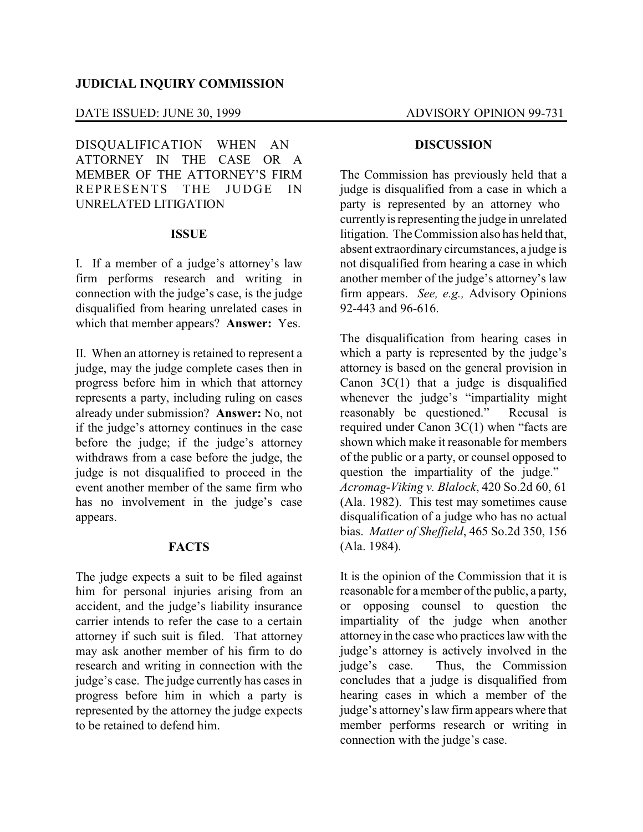# **JUDICIAL INQUIRY COMMISSION**

# DATE ISSUED: JUNE 30, 1999 ADVISORY OPINION 99-731

DISQUALIFICATION WHEN AN ATTORNEY IN THE CASE OR A MEMBER OF THE ATTORNEY'S FIRM REPRESENTS THE JUDGE IN UNRELATED LITIGATION

### **ISSUE**

I. If a member of a judge's attorney's law firm performs research and writing in connection with the judge's case, is the judge disqualified from hearing unrelated cases in which that member appears? **Answer:** Yes.

II. When an attorney is retained to represent a judge, may the judge complete cases then in progress before him in which that attorney represents a party, including ruling on cases already under submission? **Answer:** No, not if the judge's attorney continues in the case before the judge; if the judge's attorney withdraws from a case before the judge, the judge is not disqualified to proceed in the event another member of the same firm who has no involvement in the judge's case appears.

## **FACTS**

The judge expects a suit to be filed against him for personal injuries arising from an accident, and the judge's liability insurance carrier intends to refer the case to a certain attorney if such suit is filed. That attorney may ask another member of his firm to do research and writing in connection with the judge's case. The judge currently has cases in progress before him in which a party is represented by the attorney the judge expects to be retained to defend him.

### **DISCUSSION**

The Commission has previously held that a judge is disqualified from a case in which a party is represented by an attorney who currently is representing the judge in unrelated litigation. The Commission also has held that, absent extraordinary circumstances, a judge is not disqualified from hearing a case in which another member of the judge's attorney's law firm appears. *See, e.g.,* Advisory Opinions 92-443 and 96-616.

The disqualification from hearing cases in which a party is represented by the judge's attorney is based on the general provision in Canon  $3C(1)$  that a judge is disqualified whenever the judge's "impartiality might reasonably be questioned." Recusal is required under Canon 3C(1) when "facts are shown which make it reasonable for members of the public or a party, or counsel opposed to question the impartiality of the judge." *Acromag-Viking v. Blalock*, 420 So.2d 60, 61 (Ala. 1982). This test may sometimes cause disqualification of a judge who has no actual bias. *Matter of Sheffield*, 465 So.2d 350, 156 (Ala. 1984).

It is the opinion of the Commission that it is reasonable for a member of the public, a party, or opposing counsel to question the impartiality of the judge when another attorney in the case who practices law with the judge's attorney is actively involved in the judge's case. Thus, the Commission Thus, the Commission concludes that a judge is disqualified from hearing cases in which a member of the judge's attorney's law firm appears where that member performs research or writing in connection with the judge's case.